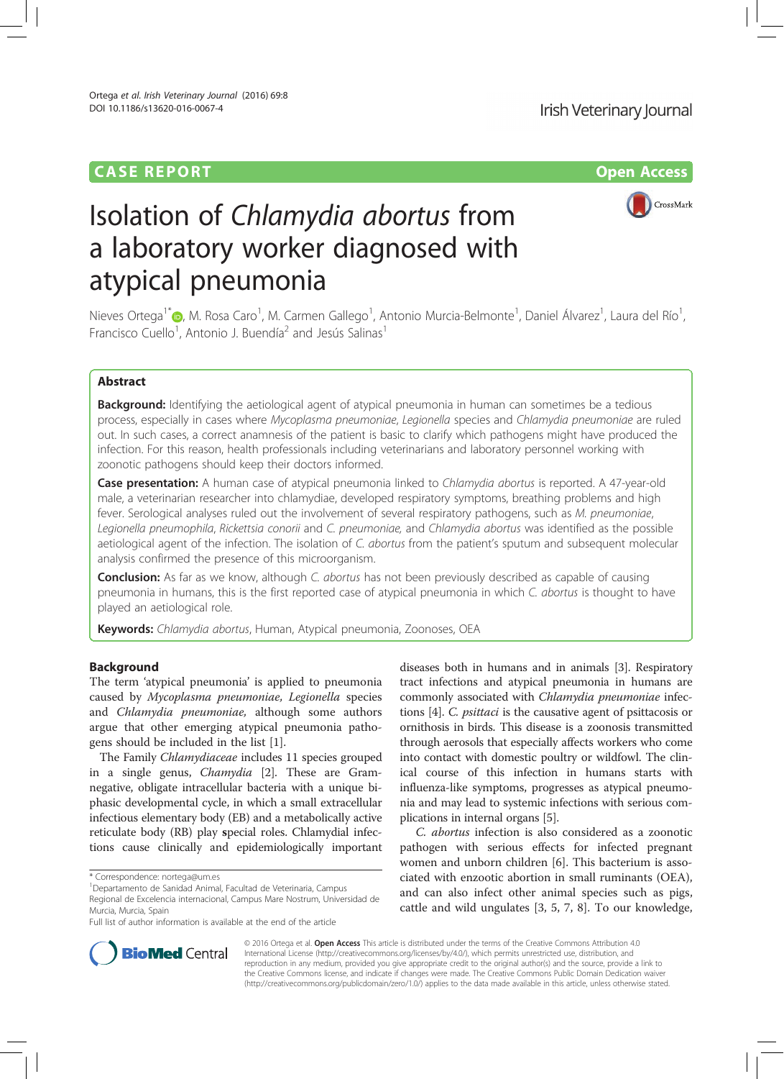# CASE REPORT Open Access



# Isolation of Chlamydia abortus from a laboratory worker diagnosed with atypical pneumonia

Nieves Ortega<sup>1\*</sup>®, M. Rosa Caro<sup>1</sup>, M. Carmen Gallego<sup>1</sup>, Antonio Murcia-Belmonte<sup>1</sup>, Daniel Álvarez<sup>1</sup>, Laura del Río<sup>1</sup> , Francisco Cuello<sup>1</sup>, Antonio J. Buendía<sup>2</sup> and Jesús Salinas<sup>1</sup>

# Abstract

**Background:** Identifying the aetiological agent of atypical pneumonia in human can sometimes be a tedious process, especially in cases where Mycoplasma pneumoniae, Legionella species and Chlamydia pneumoniae are ruled out. In such cases, a correct anamnesis of the patient is basic to clarify which pathogens might have produced the infection. For this reason, health professionals including veterinarians and laboratory personnel working with zoonotic pathogens should keep their doctors informed.

Case presentation: A human case of atypical pneumonia linked to Chlamydia abortus is reported. A 47-year-old male, a veterinarian researcher into chlamydiae, developed respiratory symptoms, breathing problems and high fever. Serological analyses ruled out the involvement of several respiratory pathogens, such as M. pneumoniae, Legionella pneumophila, Rickettsia conorii and C. pneumoniae, and Chlamydia abortus was identified as the possible aetiological agent of the infection. The isolation of C. abortus from the patient's sputum and subsequent molecular analysis confirmed the presence of this microorganism.

**Conclusion:** As far as we know, although C. abortus has not been previously described as capable of causing pneumonia in humans, this is the first reported case of atypical pneumonia in which C. abortus is thought to have played an aetiological role.

Keywords: Chlamydia abortus, Human, Atypical pneumonia, Zoonoses, OEA

# Background

The term 'atypical pneumonia' is applied to pneumonia caused by Mycoplasma pneumoniae, Legionella species and Chlamydia pneumoniae, although some authors argue that other emerging atypical pneumonia pathogens should be included in the list [1].

The Family Chlamydiaceae includes 11 species grouped in a single genus, Chamydia [2]. These are Gramnegative, obligate intracellular bacteria with a unique biphasic developmental cycle, in which a small extracellular infectious elementary body (EB) and a metabolically active reticulate body (RB) play special roles. Chlamydial infections cause clinically and epidemiologically important

Full list of author information is available at the end of the article

diseases both in humans and in animals [3]. Respiratory tract infections and atypical pneumonia in humans are commonly associated with Chlamydia pneumoniae infections [4]. C. psittaci is the causative agent of psittacosis or ornithosis in birds. This disease is a zoonosis transmitted through aerosols that especially affects workers who come into contact with domestic poultry or wildfowl. The clinical course of this infection in humans starts with influenza-like symptoms, progresses as atypical pneumonia and may lead to systemic infections with serious complications in internal organs [5].

C. abortus infection is also considered as a zoonotic pathogen with serious effects for infected pregnant women and unborn children [6]. This bacterium is associated with enzootic abortion in small ruminants (OEA), and can also infect other animal species such as pigs, cattle and wild ungulates [3, 5, 7, 8]. To our knowledge,



© 2016 Ortega et al. Open Access This article is distributed under the terms of the Creative Commons Attribution 4.0 International License (http://creativecommons.org/licenses/by/4.0/), which permits unrestricted use, distribution, and reproduction in any medium, provided you give appropriate credit to the original author(s) and the source, provide a link to the Creative Commons license, and indicate if changes were made. The Creative Commons Public Domain Dedication waiver (http://creativecommons.org/publicdomain/zero/1.0/) applies to the data made available in this article, unless otherwise stated.

<sup>\*</sup> Correspondence: nortega@um.es <sup>1</sup>

Departamento de Sanidad Animal, Facultad de Veterinaria, Campus Regional de Excelencia internacional, Campus Mare Nostrum, Universidad de

Murcia, Murcia, Spain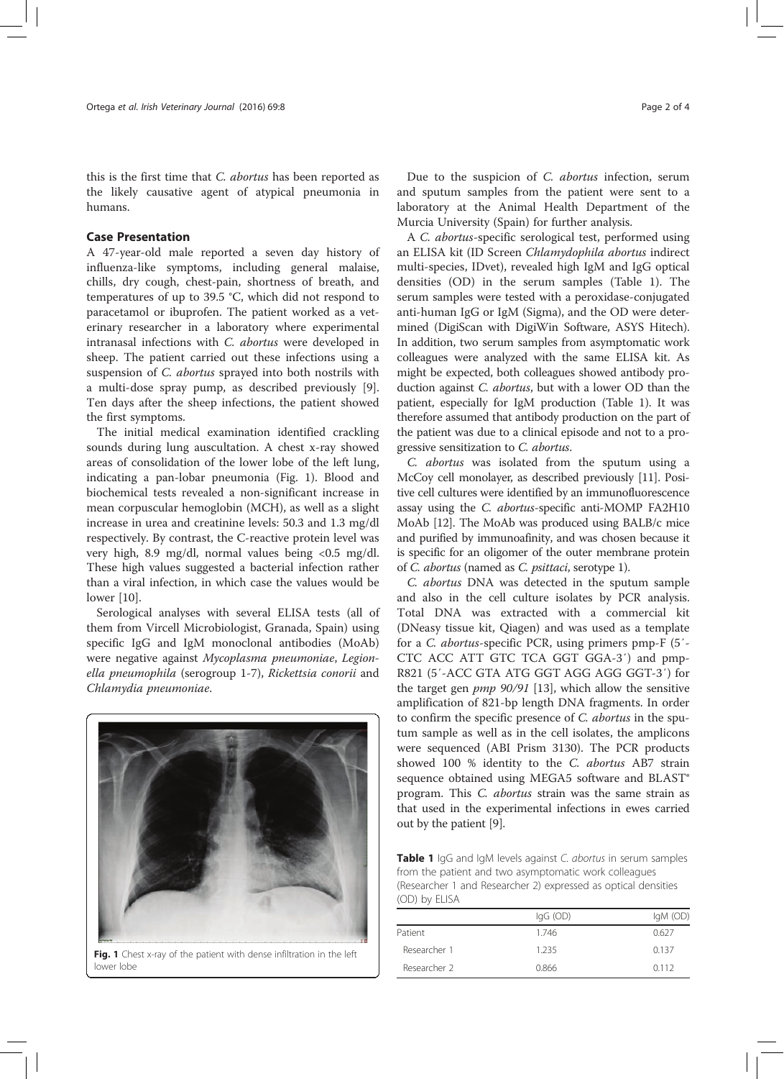this is the first time that *C. abortus* has been reported as the likely causative agent of atypical pneumonia in humans.

## Case Presentation

A 47-year-old male reported a seven day history of influenza-like symptoms, including general malaise, chills, dry cough, chest-pain, shortness of breath, and temperatures of up to 39.5 °C, which did not respond to paracetamol or ibuprofen. The patient worked as a veterinary researcher in a laboratory where experimental intranasal infections with C. abortus were developed in sheep. The patient carried out these infections using a suspension of C. abortus sprayed into both nostrils with a multi-dose spray pump, as described previously [9]. Ten days after the sheep infections, the patient showed the first symptoms.

The initial medical examination identified crackling sounds during lung auscultation. A chest x-ray showed areas of consolidation of the lower lobe of the left lung, indicating a pan-lobar pneumonia (Fig. 1). Blood and biochemical tests revealed a non-significant increase in mean corpuscular hemoglobin (MCH), as well as a slight increase in urea and creatinine levels: 50.3 and 1.3 mg/dl respectively. By contrast, the C-reactive protein level was very high, 8.9 mg/dl, normal values being <0.5 mg/dl. These high values suggested a bacterial infection rather than a viral infection, in which case the values would be lower [10].

Serological analyses with several ELISA tests (all of them from Vircell Microbiologist, Granada, Spain) using specific IgG and IgM monoclonal antibodies (MoAb) were negative against Mycoplasma pneumoniae, Legionella pneumophila (serogroup 1-7), Rickettsia conorii and Chlamydia pneumoniae.



Fig. 1 Chest x-ray of the patient with dense infiltration in the left lower lobe

Due to the suspicion of C. abortus infection, serum and sputum samples from the patient were sent to a laboratory at the Animal Health Department of the Murcia University (Spain) for further analysis.

A C. abortus-specific serological test, performed using an ELISA kit (ID Screen Chlamydophila abortus indirect multi-species, IDvet), revealed high IgM and IgG optical densities (OD) in the serum samples (Table 1). The serum samples were tested with a peroxidase-conjugated anti-human IgG or IgM (Sigma), and the OD were determined (DigiScan with DigiWin Software, ASYS Hitech). In addition, two serum samples from asymptomatic work colleagues were analyzed with the same ELISA kit. As might be expected, both colleagues showed antibody production against C. abortus, but with a lower OD than the patient, especially for IgM production (Table 1). It was therefore assumed that antibody production on the part of the patient was due to a clinical episode and not to a progressive sensitization to C. abortus.

C. abortus was isolated from the sputum using a McCoy cell monolayer, as described previously [11]. Positive cell cultures were identified by an immunofluorescence assay using the C. abortus-specific anti-MOMP FA2H10 MoAb [12]. The MoAb was produced using BALB/c mice and purified by immunoafinity, and was chosen because it is specific for an oligomer of the outer membrane protein of C. abortus (named as C. psittaci, serotype 1).

C. abortus DNA was detected in the sputum sample and also in the cell culture isolates by PCR analysis. Total DNA was extracted with a commercial kit (DNeasy tissue kit, Qiagen) and was used as a template for a C. abortus-specific PCR, using primers pmp-F (5′- CTC ACC ATT GTC TCA GGT GGA-3′) and pmp-R821 (5′-ACC GTA ATG GGT AGG AGG GGT-3′) for the target gen pmp 90/91 [13], which allow the sensitive amplification of 821-bp length DNA fragments. In order to confirm the specific presence of C. abortus in the sputum sample as well as in the cell isolates, the amplicons were sequenced (ABI Prism 3130). The PCR products showed 100 % identity to the C. abortus AB7 strain sequence obtained using MEGA5 software and BLAST® program. This C. abortus strain was the same strain as that used in the experimental infections in ewes carried out by the patient [9].

Table 1 IgG and IgM levels against C. abortus in serum samples from the patient and two asymptomatic work colleagues (Researcher 1 and Researcher 2) expressed as optical densities (OD) by ELISA

| $lgG$ (OD) | $IqM$ (OD) |
|------------|------------|
| 1.746      | 0.627      |
| 1.235      | 0.137      |
| 0.866      | 0.112      |
|            |            |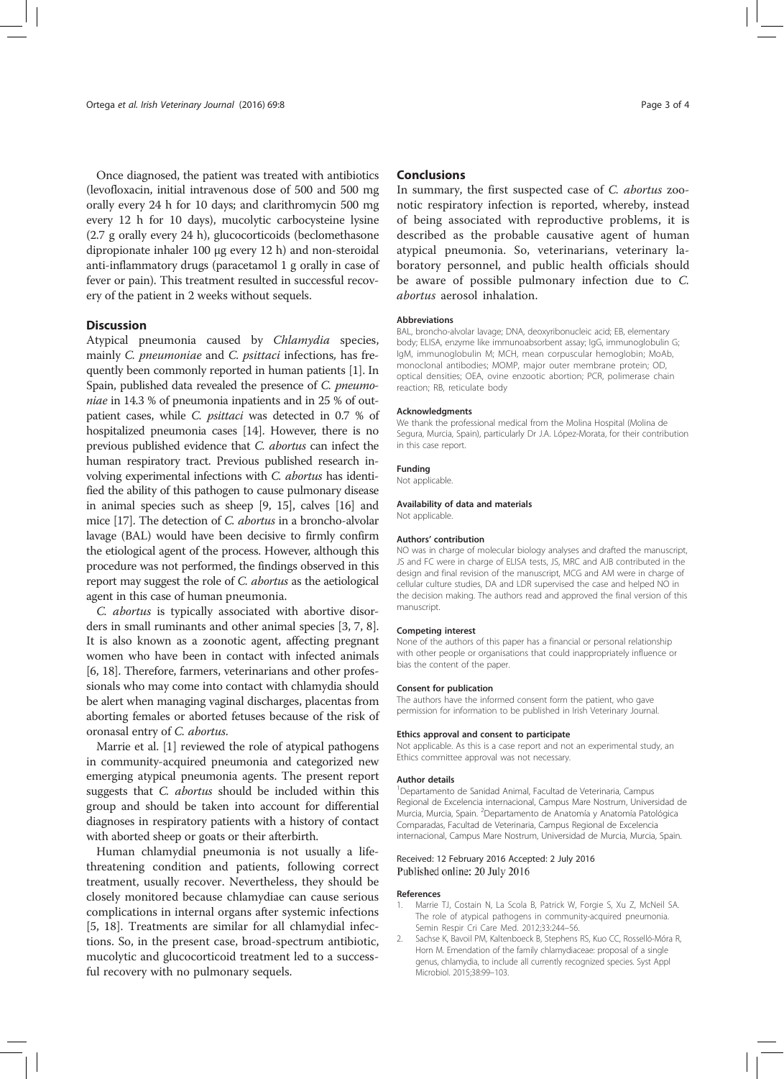Once diagnosed, the patient was treated with antibiotics (levofloxacin, initial intravenous dose of 500 and 500 mg orally every 24 h for 10 days; and clarithromycin 500 mg every 12 h for 10 days), mucolytic carbocysteine lysine (2.7 g orally every 24 h), glucocorticoids (beclomethasone dipropionate inhaler 100 μg every 12 h) and non-steroidal anti-inflammatory drugs (paracetamol 1 g orally in case of fever or pain). This treatment resulted in successful recovery of the patient in 2 weeks without sequels.

#### **Discussion**

Atypical pneumonia caused by Chlamydia species, mainly C. pneumoniae and C. psittaci infections, has frequently been commonly reported in human patients [1]. In Spain, published data revealed the presence of C. pneumoniae in 14.3 % of pneumonia inpatients and in 25 % of outpatient cases, while C. psittaci was detected in 0.7 % of hospitalized pneumonia cases [14]. However, there is no previous published evidence that C. abortus can infect the human respiratory tract. Previous published research involving experimental infections with C. abortus has identified the ability of this pathogen to cause pulmonary disease in animal species such as sheep [9, 15], calves [16] and mice [17]. The detection of C. abortus in a broncho-alvolar lavage (BAL) would have been decisive to firmly confirm the etiological agent of the process. However, although this procedure was not performed, the findings observed in this report may suggest the role of C. abortus as the aetiological agent in this case of human pneumonia.

C. abortus is typically associated with abortive disorders in small ruminants and other animal species [3, 7, 8]. It is also known as a zoonotic agent, affecting pregnant women who have been in contact with infected animals [6, 18]. Therefore, farmers, veterinarians and other professionals who may come into contact with chlamydia should be alert when managing vaginal discharges, placentas from aborting females or aborted fetuses because of the risk of oronasal entry of C. abortus.

Marrie et al. [1] reviewed the role of atypical pathogens in community-acquired pneumonia and categorized new emerging atypical pneumonia agents. The present report suggests that C. abortus should be included within this group and should be taken into account for differential diagnoses in respiratory patients with a history of contact with aborted sheep or goats or their afterbirth.

Human chlamydial pneumonia is not usually a lifethreatening condition and patients, following correct treatment, usually recover. Nevertheless, they should be closely monitored because chlamydiae can cause serious complications in internal organs after systemic infections [5, 18]. Treatments are similar for all chlamydial infections. So, in the present case, broad-spectrum antibiotic, mucolytic and glucocorticoid treatment led to a successful recovery with no pulmonary sequels.

### **Conclusions**

In summary, the first suspected case of C. abortus zoonotic respiratory infection is reported, whereby, instead of being associated with reproductive problems, it is described as the probable causative agent of human atypical pneumonia. So, veterinarians, veterinary laboratory personnel, and public health officials should be aware of possible pulmonary infection due to C. abortus aerosol inhalation.

#### Abbreviations

BAL, broncho-alvolar lavage; DNA, deoxyribonucleic acid; EB, elementary body; ELISA, enzyme like immunoabsorbent assay; IgG, immunoglobulin G; IgM, immunoglobulin M; MCH, mean corpuscular hemoglobin; MoAb, monoclonal antibodies; MOMP, major outer membrane protein; OD, optical densities; OEA, ovine enzootic abortion; PCR, polimerase chain reaction; RB, reticulate body

#### Acknowledgments

We thank the professional medical from the Molina Hospital (Molina de Segura, Murcia, Spain), particularly Dr J.A. López-Morata, for their contribution in this case report.

#### Funding

Not applicable.

Availability of data and materials Not applicable.

#### Authors' contribution

NO was in charge of molecular biology analyses and drafted the manuscript, JS and FC were in charge of ELISA tests, JS, MRC and AJB contributed in the design and final revision of the manuscript, MCG and AM were in charge of cellular culture studies, DA and LDR supervised the case and helped NO in the decision making. The authors read and approved the final version of this manuscript.

#### Competing interest

None of the authors of this paper has a financial or personal relationship with other people or organisations that could inappropriately influence or bias the content of the paper.

#### Consent for publication

The authors have the informed consent form the patient, who gave permission for information to be published in Irish Veterinary Journal.

#### Ethics approval and consent to participate

Not applicable. As this is a case report and not an experimental study, an Ethics committee approval was not necessary.

#### Author details

1 Departamento de Sanidad Animal, Facultad de Veterinaria, Campus Regional de Excelencia internacional, Campus Mare Nostrum, Universidad de Murcia, Murcia, Spain. <sup>2</sup>Departamento de Anatomía y Anatomía Patológica Comparadas, Facultad de Veterinaria, Campus Regional de Excelencia internacional, Campus Mare Nostrum, Universidad de Murcia, Murcia, Spain.

#### Received: 12 February 2016 Accepted: 2 July 2016 Published online: 20 July 2016

#### References

- 1. Marrie TJ, Costain N, La Scola B, Patrick W, Forgie S, Xu Z, McNeil SA. The role of atypical pathogens in community-acquired pneumonia. Semin Respir Cri Care Med. 2012;33:244–56.
- 2. Sachse K, Bavoil PM, Kaltenboeck B, Stephens RS, Kuo CC, Rosselló-Móra R, Horn M. Emendation of the family chlamydiaceae: proposal of a single genus, chlamydia, to include all currently recognized species. Syst Appl Microbiol. 2015;38:99–103.